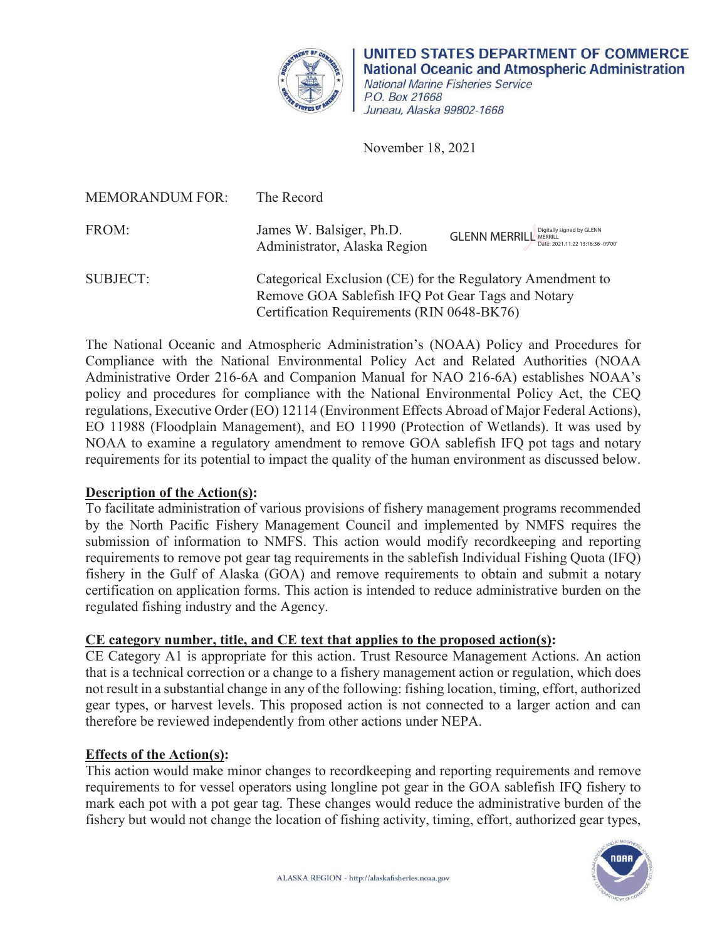

**UNITED STATES DEPARTMENT OF COMMERCE National Oceanic and Atmospheric Administration**  National Marine Fisheries Service P.O. Box 21668 Juneau, Alaska 99802-1668

November 18, 2021

| <b>MEMORANDUM FOR:</b> | The Record                                                                                                                                                    |                                                                           |
|------------------------|---------------------------------------------------------------------------------------------------------------------------------------------------------------|---------------------------------------------------------------------------|
| FROM:                  | James W. Balsiger, Ph.D.<br>Administrator, Alaska Region                                                                                                      | <b>GLENN MERRILL</b> MERRILL MERRILL<br>Date: 2021.11.22 13:16:36 -09'00' |
| <b>SUBJECT:</b>        | Categorical Exclusion (CE) for the Regulatory Amendment to<br>Remove GOA Sablefish IFQ Pot Gear Tags and Notary<br>Certification Requirements (RIN 0648-BK76) |                                                                           |

 requirements for its potential to impact the quality of the human environment as discussed below. The National Oceanic and Atmospheric Administration's (NOAA) Policy and Procedures for Compliance with the National Environmental Policy Act and Related Authorities (NOAA Administrative Order 216-6A and Companion Manual for NAO 216-6A) establishes NOAA's policy and procedures for compliance with the National Environmental Policy Act, the CEQ regulations, Executive Order (EO) 12114 (Environment Effects Abroad of Major Federal Actions), EO 11988 (Floodplain Management), and EO 11990 (Protection of Wetlands). It was used by NOAA to examine a regulatory amendment to remove GOA sablefish IFQ pot tags and notary

# **Description of the Action(s):**

 by the North Pacific Fishery Management Council and implemented by NMFS requires the To facilitate administration of various provisions of fishery management programs recommended submission of information to NMFS. This action would modify recordkeeping and reporting requirements to remove pot gear tag requirements in the sablefish Individual Fishing Quota (IFQ) fishery in the Gulf of Alaska (GOA) and remove requirements to obtain and submit a notary certification on application forms. This action is intended to reduce administrative burden on the regulated fishing industry and the Agency.

# **CE category number, title, and CE text that applies to the proposed action(s):**

CE Category A1 is appropriate for this action. Trust Resource Management Actions. An action that is a technical correction or a change to a fishery management action or regulation, which does not result in a substantial change in any of the following: fishing location, timing, effort, authorized gear types, or harvest levels. This proposed action is not connected to a larger action and can therefore be reviewed independently from other actions under NEPA.

# **Effects of the Action(s):**

This action would make minor changes to recordkeeping and reporting requirements and remove requirements to for vessel operators using longline pot gear in the GOA sablefish IFQ fishery to mark each pot with a pot gear tag. These changes would reduce the administrative burden of the fishery but would not change the location of fishing activity, timing, effort, authorized gear types,

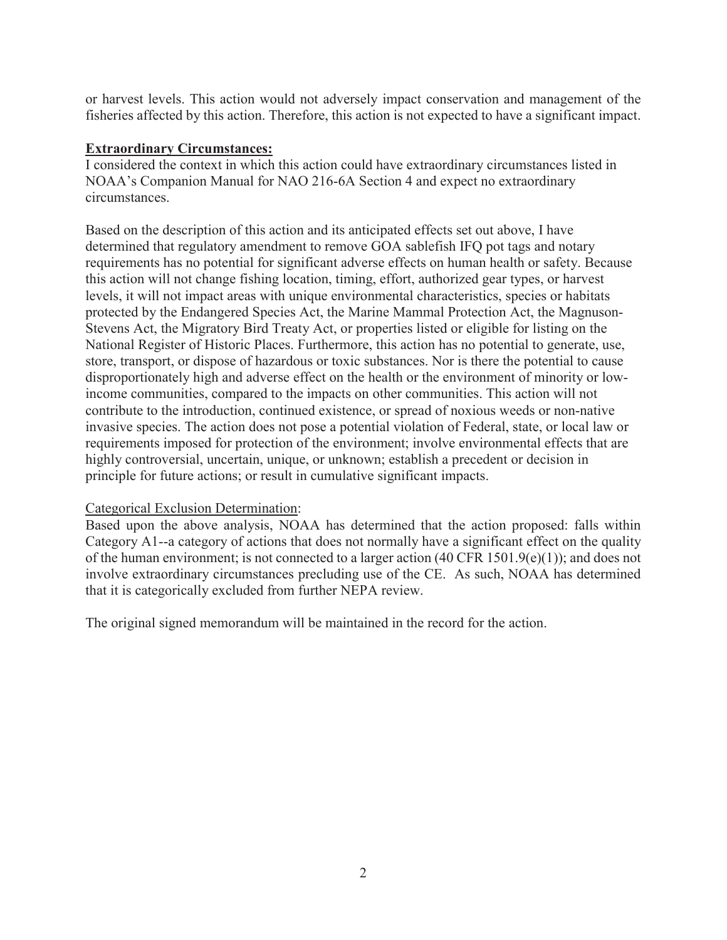or harvest levels. This action would not adversely impact conservation and management of the fisheries affected by this action. Therefore, this action is not expected to have a significant impact.

# **Extraordinary Circumstances:**

I considered the context in which this action could have extraordinary circumstances listed in NOAA's Companion Manual for NAO 216-6A Section 4 and expect no extraordinary circumstances.

 determined that regulatory amendment to remove GOA sablefish IFQ pot tags and notary levels, it will not impact areas with unique environmental characteristics, species or habitats Based on the description of this action and its anticipated effects set out above, I have requirements has no potential for significant adverse effects on human health or safety. Because this action will not change fishing location, timing, effort, authorized gear types, or harvest protected by the Endangered Species Act, the Marine Mammal Protection Act, the Magnuson-Stevens Act, the Migratory Bird Treaty Act, or properties listed or eligible for listing on the National Register of Historic Places. Furthermore, this action has no potential to generate, use, store, transport, or dispose of hazardous or toxic substances. Nor is there the potential to cause disproportionately high and adverse effect on the health or the environment of minority or lowincome communities, compared to the impacts on other communities. This action will not contribute to the introduction, continued existence, or spread of noxious weeds or non-native invasive species. The action does not pose a potential violation of Federal, state, or local law or requirements imposed for protection of the environment; involve environmental effects that are highly controversial, uncertain, unique, or unknown; establish a precedent or decision in principle for future actions; or result in cumulative significant impacts.

### Categorical Exclusion Determination:

Based upon the above analysis, NOAA has determined that the action proposed: falls within Category A1--a category of actions that does not normally have a significant effect on the quality of the human environment; is not connected to a larger action (40 CFR 1501.9(e)(1)); and does not involve extraordinary circumstances precluding use of the CE. As such, NOAA has determined that it is categorically excluded from further NEPA review.

The original signed memorandum will be maintained in the record for the action.